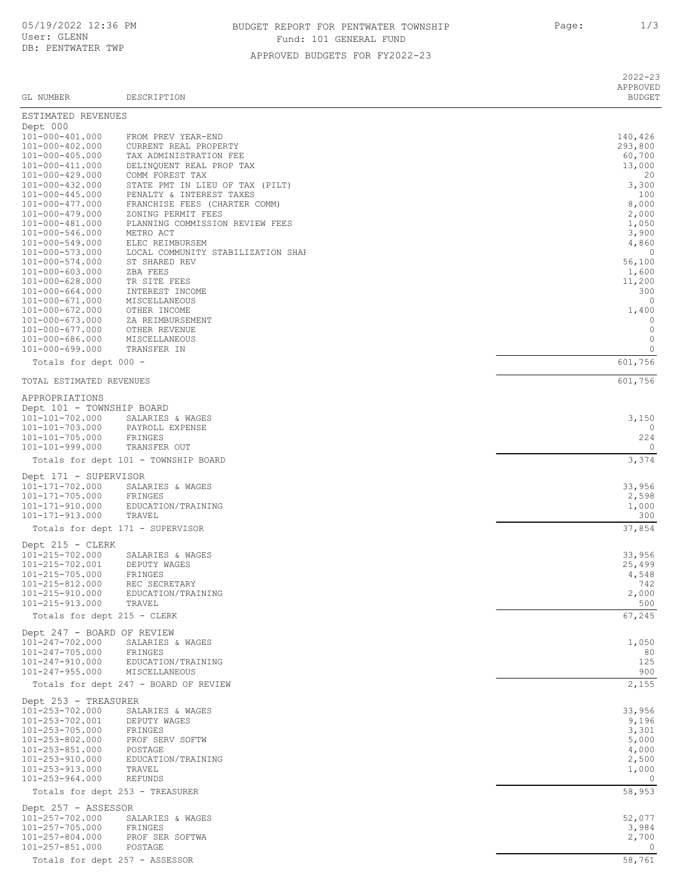## APPROVED BUDGETS FOR FY2022-23 BUDGET REPORT FOR PENTWATER TOWNSHIP **Page:**  $1/3$ Fund: 101 GENERAL FUND

2022-23 APPROVED GL NUMBER DESCRIPTION BUDGET ESTIMATED REVENUES Dept 000<br>101-000-401.000 101-000-401.000 FROM PREV YEAR-END<br>101-000-402.000 CURRENT REAL PROPERTY 140,426 101-000-402.000 CURRENT REAL PROPERTY 293,800 101-000-405.000 TAX ADMINISTRATION FEE 60,700 101-000-411.000 DELINQUENT REAL PROP TAX<br>101-000-429.000 COMM FOREST TAX 101-000-429.000 COMM FOREST TAX 20 101-000-432.000 STATE PMT IN LIEU OF TAX (PILT) 3,300 101-000-445.000 PENALTY & INTEREST TAXES 100 101-000-477.000 FRANCHISE FEES (CHARTER COMM) 8,000 101-000-479.000 ZONING PERMIT FEES 2,000 101-000-481.000 PLANNING COMMISSION REVIEW FEES 1,050 101-000-546.000 METRO ACT 3,900 101-000-549.000 ELEC REIMBURSEM 4,860 101-000-573.000 LOCAL COMMUNITY STABILIZATION SHARE 0 101-000-574.000 ST SHARED REV 56,100<br>101-000-603.000 ZBA FEES 1,600 101-000-603.000 ZBA FEES 1,600 101-000-628.000 TR SITE FEES 11,200 101-000-664.000 INTEREST INCOME 300 101-000-671.000 MISCELLANEOUS 0<br>101-000-672.000 OTHER INCOME 101-000-672.000 0 1.400 101-000-672.000 OTHER INCOME 1,400 101-000-673.000 ZA REIMBURSEMENT 0 101-000-677.000 OTHER REVENUE 0 101-000-686.000 MISCELLANEOUS 0 101-000-699.000 TRANSFER IN 0 Totals for dept 000 - 601,756 TOTAL ESTIMATED REVENUES 601,756 APPROPRIATIONS Dept 101 - TOWNSHIP BOARD<br>101-101-702.000 SALARIES 101-101-702.000 SALARIES & WAGES 3,150 101-101-703.000 PAYROLL EXPENSE 0 101-101-705.000 FRINGES 224 101-101-999.000 Totals for dept 101 - TOWNSHIP BOARD 3,374 Dept 171 - SUPERVISOR<br>101-171-702.000 SALA 101-171-171-171-8 SALARIES & WAGES 33,956<br>101-171-702.000 STRINGES 33,956<br>2,598 2,598 101-171-705.000 FRINGES 2,598 101-171-910.000 EDUCATION/TRAINING 1,000 101-171-913.000 TRAVEL 300 Totals for dept 171 - SUPERVISOR 37,854 Dept 215 - CLERK 101-215-702.000 SALARIES & WAGES 33,956  $101 - 215 - 702.001$ 101-215-705.000 FRINGES 4,548 101-215-812.000 REC SECRETARY 742 EDUCATION/TRAINING 101-215-913.000 TRAVEL 500 Totals for dept 215 - CLERK 67,245 Dept 247 - BOARD OF REVIEW<br>101-247-702.000 SALARIES SALARIES & WAGES 1,050<br>FRINGES 2000 SOLARIES 2000 SOLARIES 2000 SOLARIES 2000 SOLARIES 2000 SOLARIES 2000 SOLARIES 101-247-705.000 FRINGES 80<br>101-247-910.000 EDUCATION/TRAINING 125 101-247-910.000 EDUCATION/TRAINING 125 101-247-955.000 MISCELLANEOUS 900 Totals for dept 247 - BOARD OF REVIEW 2, 2008 2, 2008 2, 2009 2, 2008 2, 2009 2, 2009 2, 2009 2, 2009 2, 2009 2 Dept 253 - TREASURER<br>101-253-702.000 SAI 101-253-702. SALARIES & WAGES 33,956<br>19,196 DEPUTY WAGES 33,956 101-253-702.001 DEPUTY WAGES 9,196<br>101-253-705.000 FRINGES 3,301 101-253-705.000 FRINGES 3,301 101-253-802.000 PROF SERV SOFTW 5,000 101-253-851.000 POSTAGE 4,000  $2,500$ TRAVEL
2,000 101-253-913.000 TRAVEL 1,000  $101 - 253 - 964.000$ Totals for dept 253 - TREASURER 58,953 Dept 257 - ASSESSOR<br>101-257-702.000 SP 101-257-000 SALARIES & WAGES 52,077<br>101-257-2020 SALARIES 52,077<br>101-257-2020 SALARIES 52,984 101-257-705.000 FRINGES 3,984 101-257-804.000 PROF SER SOFTWA 2,700  $101 - 257 - 851.000$ Totals for dept 257 - ASSESSOR 58,761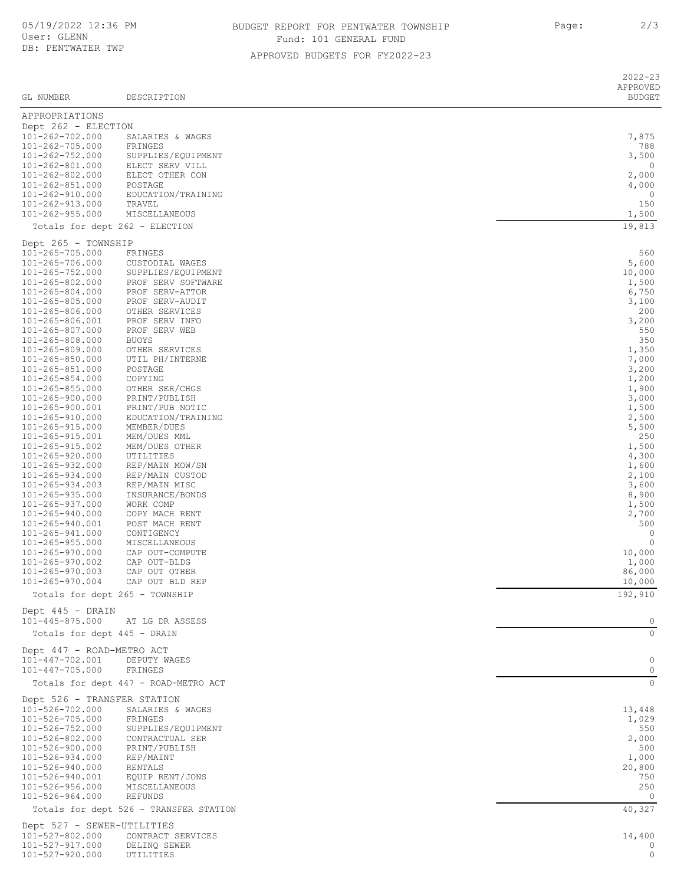## BUDGET REPORT FOR PENTWATER TOWNSHIP FOR Page: 2/3 Fund: 101 GENERAL FUND

APPROVED BUDGETS FOR FY2022-23

| GL NUMBER                                      | DESCRIPTION                                       | APPROVED<br><b>BUDGET</b> |  |  |
|------------------------------------------------|---------------------------------------------------|---------------------------|--|--|
| APPROPRIATIONS                                 |                                                   |                           |  |  |
| Dept 262 - ELECTION                            |                                                   |                           |  |  |
| 101-262-702.000                                | SALARIES & WAGES                                  | 7,875                     |  |  |
| 101-262-705.000<br>$101 - 262 - 752.000$       | FRINGES                                           | 788<br>3,500              |  |  |
| 101-262-801.000                                | SUPPLIES/EQUIPMENT<br>ELECT SERV VILL             | 0                         |  |  |
| $101 - 262 - 802.000$                          | ELECT OTHER CON                                   | 2,000                     |  |  |
| $101 - 262 - 851.000$                          | POSTAGE                                           | 4,000                     |  |  |
| 101-262-910.000<br>101-262-913.000             | EDUCATION/TRAINING<br>TRAVEL                      | 0<br>150                  |  |  |
| $101 - 262 - 955.000$                          | MISCELLANEOUS                                     | 1,500                     |  |  |
| Totals for dept 262 - ELECTION                 |                                                   | 19,813                    |  |  |
| Dept 265 - TOWNSHIP                            |                                                   |                           |  |  |
| 101-265-705.000                                | FRINGES                                           | 560                       |  |  |
| 101-265-706.000<br>$101 - 265 - 752.000$       | CUSTODIAL WAGES<br>SUPPLIES/EQUIPMENT             | 5,600<br>10,000           |  |  |
| 101-265-802.000                                | PROF SERV SOFTWARE                                | 1,500                     |  |  |
| $101 - 265 - 804.000$                          | PROF SERV-ATTOR                                   | 6,750                     |  |  |
| 101-265-805.000                                | PROF SERV-AUDIT                                   | 3,100                     |  |  |
| 101-265-806.000<br>101-265-806.001             | OTHER SERVICES<br>PROF SERV INFO                  | 200<br>3,200              |  |  |
| 101-265-807.000                                | PROF SERV WEB                                     | 550                       |  |  |
| 101-265-808.000                                | <b>BUOYS</b>                                      | 350                       |  |  |
| 101-265-809.000                                | OTHER SERVICES                                    | 1,350                     |  |  |
| 101-265-850.000<br>101-265-851.000             | UTIL PH/INTERNE<br>POSTAGE                        | 7,000<br>3,200            |  |  |
| $101 - 265 - 854.000$                          | COPYING                                           | 1,200                     |  |  |
| $101 - 265 - 855.000$                          | OTHER SER/CHGS                                    | 1,900                     |  |  |
| 101-265-900.000                                | PRINT/PUBLISH                                     | 3,000                     |  |  |
| 101-265-900.001<br>101-265-910.000             | PRINT/PUB NOTIC<br>EDUCATION/TRAINING             | 1,500<br>2,500            |  |  |
| 101-265-915.000                                | MEMBER/DUES                                       | 5,500                     |  |  |
| 101-265-915.001                                | MEM/DUES MML                                      | 250                       |  |  |
| 101-265-915.002<br>$101 - 265 - 920.000$       | MEM/DUES OTHER<br>UTILITIES                       | 1,500<br>4,300            |  |  |
| $101 - 265 - 932.000$                          | REP/MAIN MOW/SN                                   | 1,600                     |  |  |
| $101 - 265 - 934.000$                          | REP/MAIN CUSTOD                                   | 2,100                     |  |  |
| $101 - 265 - 934.003$                          | REP/MAIN MISC                                     | 3,600                     |  |  |
| 101-265-935.000                                | INSURANCE/BONDS                                   | 8,900                     |  |  |
| $101 - 265 - 937.000$<br>101-265-940.000       | WORK COMP<br>COPY MACH RENT                       | 1,500<br>2,700            |  |  |
| 101-265-940.001                                | POST MACH RENT                                    | 500                       |  |  |
| 101-265-941.000                                | CONTIGENCY                                        | $\circ$                   |  |  |
| $101 - 265 - 955.000$<br>101-265-970.000       | MISCELLANEOUS<br>CAP OUT-COMPUTE                  | $\circ$<br>10,000         |  |  |
| 101-265-970.002                                | CAP OUT-BLDG                                      | 1,000                     |  |  |
| $101 - 265 - 970.003$                          | CAP OUT OTHER                                     | 86,000                    |  |  |
| 101-265-970.004                                | CAP OUT BLD REP                                   | 10,000<br>192,910         |  |  |
| Totals for dept 265 - TOWNSHIP                 |                                                   |                           |  |  |
| Dept 445 - DRAIN<br>101-445-875.000            | AT LG DR ASSESS                                   | 0                         |  |  |
| Totals for dept 445 - DRAIN                    |                                                   | $\mathbf{0}$              |  |  |
| Dept 447 - ROAD-METRO ACT                      |                                                   |                           |  |  |
| 101-447-702.001                                | DEPUTY WAGES                                      | $\circ$                   |  |  |
| $101 - 447 - 705.000$                          | FRINGES                                           | $\circ$                   |  |  |
|                                                | Totals for dept 447 - ROAD-METRO ACT              | $\circ$                   |  |  |
| Dept 526 - TRANSFER STATION<br>101-526-702.000 |                                                   |                           |  |  |
| 101-526-705.000                                | SALARIES & WAGES<br>FRINGES                       | 13,448<br>1,029           |  |  |
| 101-526-752.000                                | SUPPLIES/EQUIPMENT                                | 550                       |  |  |
| 101-526-802.000                                | CONTRACTUAL SER                                   | 2,000                     |  |  |
| 101-526-900.000                                | PRINT/PUBLISH                                     | 500                       |  |  |
| $101 - 526 - 934.000$<br>101-526-940.000       | REP/MAINT<br>RENTALS                              | 1,000<br>20,800           |  |  |
| 101-526-940.001                                | EQUIP RENT/JONS                                   | 750                       |  |  |
| $101 - 526 - 956.000$                          | MISCELLANEOUS                                     | 250                       |  |  |
| 101-526-964.000                                | REFUNDS<br>Totals for dept 526 - TRANSFER STATION | 0<br>40,327               |  |  |
| Dept 527 - SEWER-UTILITIES                     |                                                   |                           |  |  |
| 101-527-802.000                                | CONTRACT SERVICES                                 | 14,400                    |  |  |
| 101-527-917.000                                | DELINQ SEWER                                      | 0                         |  |  |
| 101-527-920.000                                | UTILITIES                                         | 0                         |  |  |

2022-23